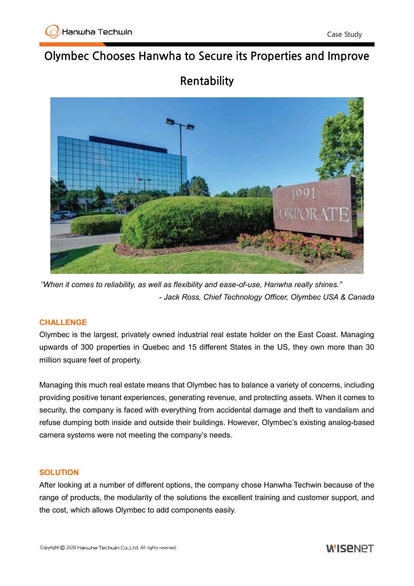# **Olymbec Chooses Hanwha to Secure its Properties and Improve**

# **Rentability**



"*When it comes to reliability, as well as flexibility and ease-of-use, Hanwha really shines." - Jack Ross, Chief Technology Officer, Olymbec USA & Canada*

## **CHALLENGE**

Olymbec is the largest, privately owned industrial real estate holder on the East Coast. Managing upwards of 300 properties in Quebec and 15 different States in the US, they own more than 30 million square feet of property.

Managing this much real estate means that Olymbec has to balance a variety of concerns, including providing positive tenant experiences, generating revenue, and protecting assets. When it comes to security, the company is faced with everything from accidental damage and theft to vandalism and refuse dumping both inside and outside their buildings. However, Olymbec's existing analog-based camera systems were not meeting the company's needs.

### **SOLUTION**

After looking at a number of different options, the company chose Hanwha Techwin because of the range of products, the modularity of the solutions the excellent training and customer support, and the cost, which allows Olymbec to add components easily.